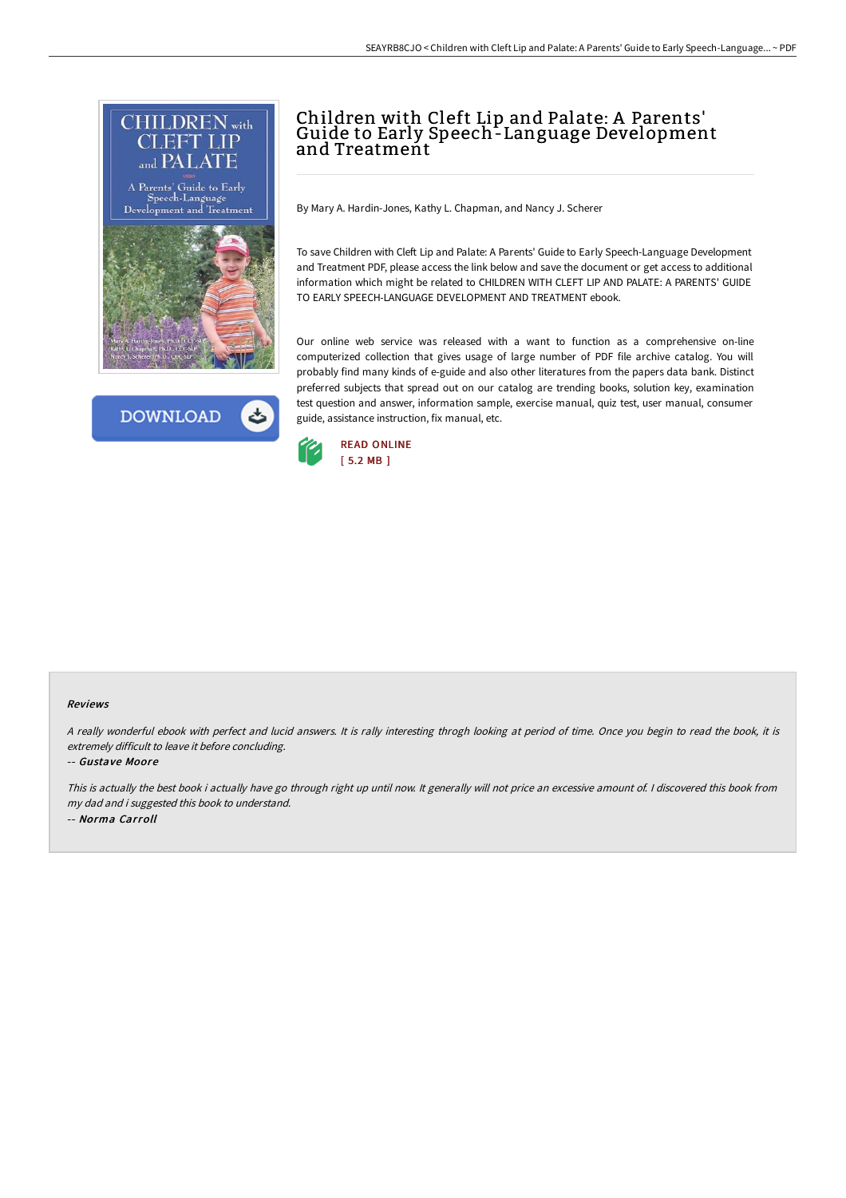



# Children with Cleft Lip and Palate: <sup>A</sup> Parents' Guide to Early Speech-Language Development and Treatment

By Mary A. Hardin-Jones, Kathy L. Chapman, and Nancy J. Scherer

To save Children with Cleft Lip and Palate: A Parents' Guide to Early Speech-Language Development and Treatment PDF, please access the link below and save the document or get access to additional information which might be related to CHILDREN WITH CLEFT LIP AND PALATE: A PARENTS' GUIDE TO EARLY SPEECH-LANGUAGE DEVELOPMENT AND TREATMENT ebook.

Our online web service was released with a want to function as a comprehensive on-line computerized collection that gives usage of large number of PDF file archive catalog. You will probably find many kinds of e-guide and also other literatures from the papers data bank. Distinct preferred subjects that spread out on our catalog are trending books, solution key, examination test question and answer, information sample, exercise manual, quiz test, user manual, consumer guide, assistance instruction, fix manual, etc.



#### Reviews

<sup>A</sup> really wonderful ebook with perfect and lucid answers. It is rally interesting throgh looking at period of time. Once you begin to read the book, it is extremely difficult to leave it before concluding.

-- Gustave Moore

This is actually the best book i actually have go through right up until now. It generally will not price an excessive amount of. <sup>I</sup> discovered this book from my dad and i suggested this book to understand. -- Norma Carroll